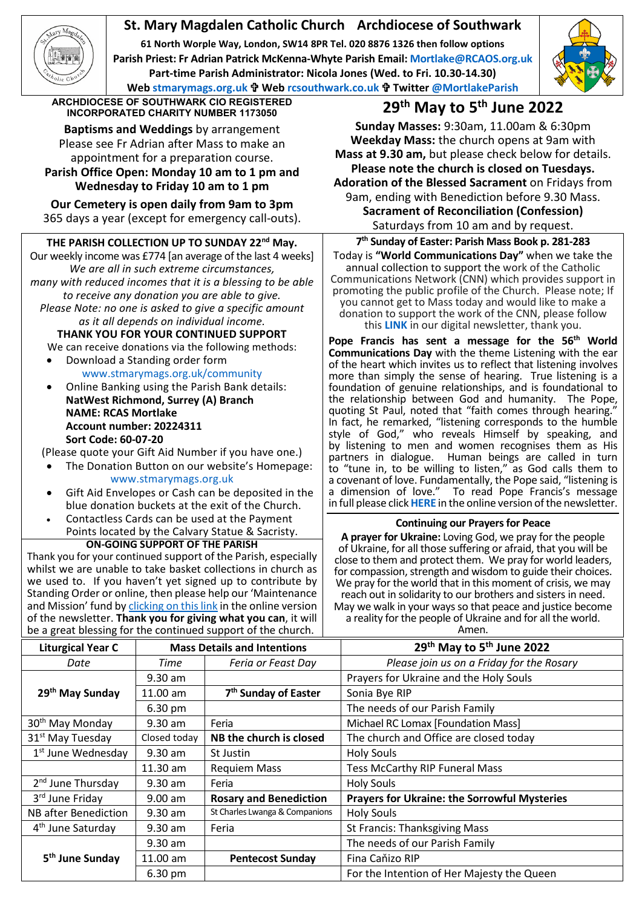# **St. Mary Magdalen Catholic Church Archdiocese of Southwark**

**61 North Worple Way, London, SW14 8PR Tel. 020 8876 1326 then follow options Parish Priest: Fr Adrian Patrick McKenna-Whyte Parish Email[: Mortlake@RCAOS.org.uk](mailto:Mortlake@RCAOS.org.uk) Part-time Parish Administrator: Nicola Jones (Wed. to Fri. 10.30-14.30) Web [stmarymags.org.uk](http://www.stmarymags.org.uk/) Web [rcsouthwark.co.uk](http://www.rcsouthwark.co.uk/) Twitter [@MortlakeParish](https://twitter.com/@mortlakeparish)**



**ARCHDIOCESE OF SOUTHWARK CIO REGISTERED**

**Baptisms and Weddings** by arrangement Please see Fr Adrian after Mass to make an appointment for a preparation course. **Parish Office Open: Monday 10 am to 1 pm and**

**Wednesday to Friday 10 am to 1 pm**

**Our Cemetery is open daily from 9am to 3pm** 365 days a year (except for emergency call-outs).

## **THE PARISH COLLECTION UP TO SUNDAY 22nd May.**

Our weekly income was £774 [an average of the last 4 weeks] *We are all in such extreme circumstances, many with reduced incomes that it is a blessing to be able to receive any donation you are able to give. Please Note: no one is asked to give a specific amount as it all depends on individual income.*

**THANK YOU FOR YOUR CONTINUED SUPPORT** We can receive donations via the following methods:

- Download a Standing order form [www.stmarymags.org.uk/community](http://www.stmarymags.org.uk/community)
- Online Banking using the Parish Bank details: **NatWest Richmond, Surrey (A) Branch NAME: RCAS Mortlake Account number: 20224311 Sort Code: 60-07-20**
- (Please quote your Gift Aid Number if you have one.)
- The Donation Button on our website's Homepage: [www.stmarymags.org.uk](http://www.stmarymags.org.uk/)
- Gift Aid Envelopes or Cash can be deposited in the blue donation buckets at the exit of the Church.
- Contactless Cards can be used at the Payment
- Points located by the Calvary Statue & Sacristy. **ON-GOING SUPPORT OF THE PARISH**

Thank you for your continued support of the Parish, especially whilst we are unable to take basket collections in church as we used to. If you haven't yet signed up to contribute by Standing Order or online, then please help our 'Maintenance and Mission' fund b[y clicking on this link](https://givealittle.co/campaigns/0d894f95-a502-418f-a98b-07a2dc349c74) in the online version of the newsletter. **Thank you for giving what you can**, it will be a great blessing for the continued support of the church.

## **INCORPORATED CHARITY NUMBER 1173050 29th May to 5th June 2022**

**Sunday Masses:** 9:30am, 11.00am & 6:30pm **Weekday Mass:** the church opens at 9am with **Mass at 9.30 am,** but please check below for details. **Please note the church is closed on Tuesdays. Adoration of the Blessed Sacrament** on Fridays from 9am, ending with Benediction before 9.30 Mass. **Sacrament of Reconciliation (Confession)** Saturdays from 10 am and by request.

**7th Sunday of Easter: Parish Mass Book p. 281-283** Today is **"World Communications Day"** when we take the annual collection to support the work of the Catholic Communications Network (CNN) which provides support in promoting the public profile of the Church. Please note; If you cannot get to Mass today and would like to make a donation to support the work of the CNN, please follow this **[LINK](https://www.cbcew.org.uk/donate-world-communications-day/)** in our digital newsletter, thank you.

Pope Francis has sent a message for the 56<sup>th</sup> World **Communications Day** with the theme Listening with the ear of the heart which invites us to reflect that listening involves more than simply the sense of hearing. True listening is a foundation of genuine relationships, and is foundational to the relationship between God and humanity. The Pope, quoting St Paul, noted that "faith comes through hearing." In fact, he remarked, "listening corresponds to the humble style of God," who reveals Himself by speaking, and by listening to men and women recognises them as His partners in dialogue. Human beings are called in turn to "tune in, to be willing to listen," as God calls them to a covenant of love. Fundamentally, the Pope said, "listening is<br>a dimension of love." To read Pope Francis's message To read Pope Francis's message in full please click **[HERE](https://www.cbcew.org.uk/popes-communications-message-2022/)** in the online version of the newsletter.

#### **Continuing our Prayers for Peace**

**A prayer for Ukraine:** Loving God, we pray for the people of Ukraine, for all those suffering or afraid, that you will be close to them and protect them. We pray for world leaders, for compassion, strength and wisdom to guide their choices. We pray for the world that in this moment of crisis, we may reach out in solidarity to our brothers and sisters in need. May we walk in your ways so that peace and justice become a reality for the people of Ukraine and for all the world.

Amen.

| <b>Liturgical Year C</b>       | <b>Mass Details and Intentions</b> |                                  | 29th May to 5th June 2022                           |
|--------------------------------|------------------------------------|----------------------------------|-----------------------------------------------------|
| Date                           | Time                               | Feria or Feast Day               | Please join us on a Friday for the Rosary           |
|                                | $9.30$ am                          |                                  | Prayers for Ukraine and the Holy Souls              |
| 29 <sup>th</sup> May Sunday    | $11.00$ am                         | 7 <sup>th</sup> Sunday of Easter | Sonia Bye RIP                                       |
|                                | 6.30 pm                            |                                  | The needs of our Parish Family                      |
| 30 <sup>th</sup> May Monday    | $9.30$ am                          | Feria                            | Michael RC Lomax [Foundation Mass]                  |
| 31 <sup>st</sup> May Tuesday   | Closed today                       | NB the church is closed          | The church and Office are closed today              |
| 1 <sup>st</sup> June Wednesday | $9.30$ am                          | St Justin                        | <b>Holy Souls</b>                                   |
|                                | $11.30$ am                         | <b>Requiem Mass</b>              | <b>Tess McCarthy RIP Funeral Mass</b>               |
| 2 <sup>nd</sup> June Thursday  | $9.30$ am                          | Feria                            | <b>Holy Souls</b>                                   |
| 3rd June Friday                | $9.00$ am                          | <b>Rosary and Benediction</b>    | <b>Prayers for Ukraine: the Sorrowful Mysteries</b> |
| NB after Benediction           | $9.30$ am                          | St Charles Lwanga & Companions   | <b>Holy Souls</b>                                   |
| 4 <sup>th</sup> June Saturday  | $9.30$ am                          | Feria                            | <b>St Francis: Thanksgiving Mass</b>                |
|                                | $9.30$ am                          |                                  | The needs of our Parish Family                      |
| 5 <sup>th</sup> June Sunday    | 11.00 am                           | <b>Pentecost Sunday</b>          | Fina Caňizo RIP                                     |
|                                | 6.30 pm                            |                                  | For the Intention of Her Majesty the Queen          |